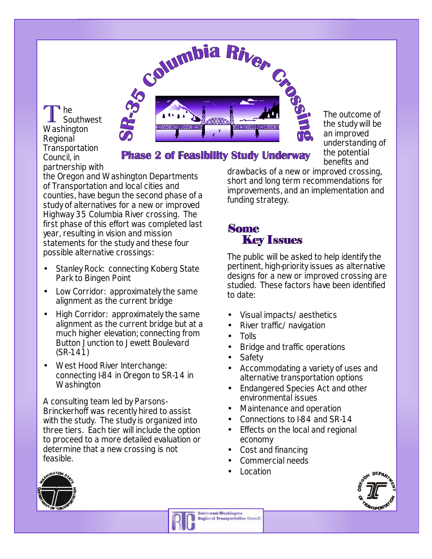

T <sup>'</sup> he Southwest Washington Regional **Transportation** Council, in partnership with

**Phase 2 of Feasibility Study Underway** 

the Oregon and Washington Departments of Transportation and local cities and counties, have begun the second phase of a study of alternatives for a new or improved Highway 35 Columbia River crossing. The first phase of this effort was completed last year, resulting in vision and mission statements for the study and these four possible alternative crossings:

- Stanley Rock: connecting Koberg State Park to Bingen Point
- Low Corridor: approximately the same alignment as the current bridge
- High Corridor: approximately the same alignment as the current bridge but at a much higher elevation; connecting from Button Junction to Jewett Boulevard (SR-141)
- West Hood River Interchange: connecting I-84 in Oregon to SR-14 in **Washington**

A consulting team led by Parsons-Brinckerhoff was recently hired to assist with the study. The study is organized into three tiers. Each tier will include the option to proceed to a more detailed evaluation or determine that a new crossing is not feasible.

benefits and drawbacks of a new or improved crossing, short and long term recommendations for improvements, and an implementation and funding strategy.

The outcome of the study will be an improved understanding of the potential

## **Some Key Issues**

The public will be asked to help identify the pertinent, high-priority issues as alternative designs for a new or improved crossing are studied. These factors have been identified to date:

- Visual impacts/aesthetics
- River traffic/navigation
- Tolls
- Bridge and traffic operations
- **Safety**
- Accommodating a variety of uses and alternative transportation options
- Endangered Species Act and other environmental issues
- Maintenance and operation
- Connections to I-84 and SR-14
- Effects on the local and regional economy
- Cost and financing
- Commercial needs
- Location





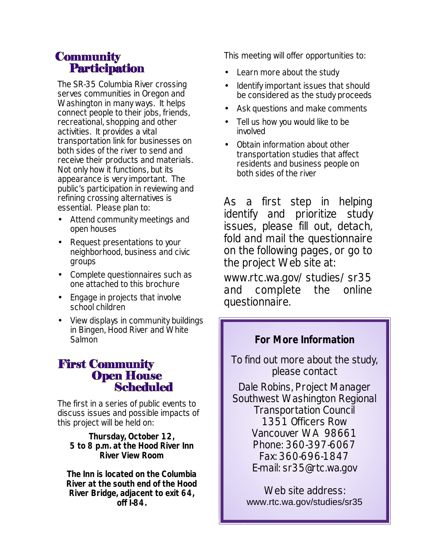# **Community Participation**

The SR-35 Columbia River crossing serves communities in Oregon and Washington in many ways. It helps connect people to their jobs, friends, recreational, shopping and other activities. It provides a vital transportation link for businesses on both sides of the river to send and receive their products and materials. Not only how it functions, but its appearance is very important. The public's participation in reviewing and refining crossing alternatives is essential. Please plan to:

- Attend community meetings and open houses
- Request presentations to your neighborhood, business and civic groups
- Complete questionnaires such as one attached to this brochure
- Engage in projects that involve school children
- View displays in community buildings in Bingen, Hood River and White Salmon

### **First Community Open House Scheduled**

The first in a series of public events to discuss issues and possible impacts of this project will be held on:

#### **Thursday, October 12, 5 to 8 p.m. at the Hood River Inn River View Room**

**The Inn is located on the Columbia River at the south end of the Hood River Bridge, adjacent to exit 64, off I-84.**

This meeting will offer opportunities to:

- Learn more about the study
- Identify important issues that should be considered as the study proceeds
- Ask questions and make comments
- Tell us how you would like to be involved
- Obtain information about other transportation studies that affect residents and business people on both sides of the river

*As a first step in helping identify and prioritize study issues, please fill out, detach, fold and mail the questionnaire on the following pages, or go to the project Web site at:*

*www.rtc.wa.gov/studies/sr35 and complete the online questionnaire.*

# **For More Information**

To find out more about the study, please contact

Dale Robins, Project Manager Southwest Washington Regional Transportation Council 1351 Officers Row Vancouver WA 98661 Phone: 360-397-6067 Fax: 360-696-1847 E-mail: sr35@rtc.wa.gov

Web site address: www.rtc.wa.gov/studies/sr35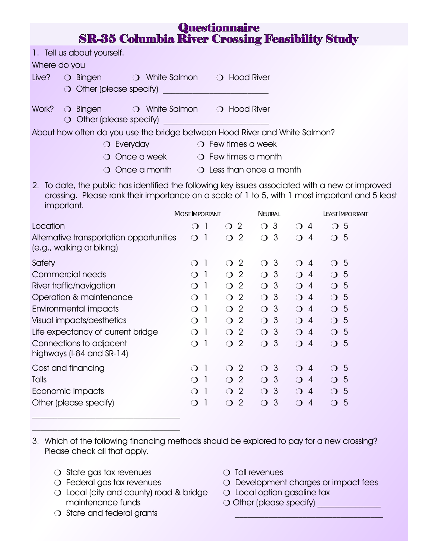| Questionnaire<br><b>SR-35 Columbia River Crossing Feasibility Study</b>                                                                                                                                                                                                                                                    |                                            |                  |                                                    |                            |                              |                  |  |
|----------------------------------------------------------------------------------------------------------------------------------------------------------------------------------------------------------------------------------------------------------------------------------------------------------------------------|--------------------------------------------|------------------|----------------------------------------------------|----------------------------|------------------------------|------------------|--|
| 1. Tell us about yourself.<br>Where do you<br>Live?<br>$\bigcirc$ Bingen<br>$\bigcirc$ White Salmon $\bigcirc$ Hood River<br>$\bigcirc$ Other (please specify)                                                                                                                                                             | 1970 - Peter Barry Barnett, amerikan       |                  |                                                    |                            |                              |                  |  |
| Work?<br>$\bigcirc$ White Salmon $\bigcirc$ Hood River<br>$\bigcirc$ Bingen<br>$\bigcirc$ Other (please specify)                                                                                                                                                                                                           |                                            |                  |                                                    |                            |                              |                  |  |
| About how often do you use the bridge between Hood River and White Salmon?<br>$\bigcirc$ Everyday<br>Once a week<br>Once a month<br>◯                                                                                                                                                                                      |                                            |                  | $\bigcirc$ Few times a week<br>O Few times a month |                            |                              |                  |  |
| $\bigcirc$ Less than once a month<br>2. To date, the public has identified the following key issues associated with a new or improved<br>crossing. Please rank their importance on a scale of 1 to 5, with 1 most important and 5 least<br>important.<br><b>MOST IMPORTANT</b><br><b>NEUTRAL</b><br><b>LEAST IMPORTANT</b> |                                            |                  |                                                    |                            |                              |                  |  |
| Location                                                                                                                                                                                                                                                                                                                   | $\bigcirc$ 1                               | $\bigcirc$ 2     |                                                    | $\bigcirc$ 3               | $\bigcirc$ 4                 | $\overline{O}5$  |  |
| Alternative transportation opportunities<br>(e.g., walking or biking)                                                                                                                                                                                                                                                      | $\bigcirc$ 1                               | $\bigcirc$ 2     |                                                    | $\bigcirc$ 3               | $\bigcirc$ 4                 | $\bigcirc$ 5     |  |
| Safety                                                                                                                                                                                                                                                                                                                     | - 1<br>◯                                   | $\bigcirc$ 2     |                                                    | $\bigcirc$ 3               | $\bigcirc$ 4                 | $\bigcirc$ 5     |  |
| Commercial needs                                                                                                                                                                                                                                                                                                           | $\bigcirc$ 1                               | $\bigcirc$ 2     |                                                    | $\bigcirc$ 3               | $\bigcirc$ 4                 | $\bigcirc$ 5     |  |
| River traffic/navigation                                                                                                                                                                                                                                                                                                   | $\overline{1}$<br>$\Omega$                 | $\bigcirc$ 2     |                                                    | $\bigcirc$ 3               | $\bigcirc$ 4                 | $\overline{O}$ 5 |  |
| Operation & maintenance                                                                                                                                                                                                                                                                                                    | $\bigcirc$<br>$\Box$                       | $\bigcirc$       | $\overline{2}$                                     | $\bigcirc$ 3               | $\bigcirc$ 4                 | $\bigcirc$ 5     |  |
| Environmental impacts                                                                                                                                                                                                                                                                                                      | $\overline{\phantom{a}}$<br>$\bigcirc$     | $\overline{O}$ 2 |                                                    | $\bigcirc$ 3               | $\bigcirc$ 4                 | $\overline{O}$ 5 |  |
| Visual impacts/aesthetics                                                                                                                                                                                                                                                                                                  | $\overline{\phantom{a}}$<br>$\bigcirc$     | $\overline{O}$ 2 |                                                    | $\bigcirc$ 3               | $\bigcirc$ 4                 | $\bigcirc$ 5     |  |
| Life expectancy of current bridge                                                                                                                                                                                                                                                                                          | - 1<br>$\bigcirc$                          | $\bigcirc$       | $\overline{2}$                                     | -3<br>$\overline{O}$       | $\bigcirc$ 4                 | $\bigcirc$ 5     |  |
| Connections to adjacent<br>highways (I-84 and SR-14)                                                                                                                                                                                                                                                                       | $\overline{O}$<br>$\overline{\phantom{a}}$ | $\bigcirc$       | $\overline{2}$                                     | $\mathbf{3}$<br>$\bigcirc$ | $\bigcirc$ 4                 | $\bigcirc$ 5     |  |
| Cost and financing                                                                                                                                                                                                                                                                                                         | $\overline{1}$<br>$\bigcirc$               | $\overline{O}$ 2 |                                                    | $\bigcirc$ 3               | $\bigcirc$ 4                 | $\bigcirc$ 5     |  |
| Tolls                                                                                                                                                                                                                                                                                                                      | -1<br>◯                                    | $\bigcirc$       | $\overline{2}$                                     | $\mathbf{3}$<br>$\bigcirc$ | $\overline{4}$<br>$\bigcirc$ | $\bigcirc$ 5     |  |
| Economic impacts                                                                                                                                                                                                                                                                                                           | -1<br>◯                                    | $\bigcirc$       | $\overline{2}$                                     | 3<br>$\bigcirc$            | $\bigcirc$ 4                 | $\bigcirc$ 5     |  |
| Other (please specify)                                                                                                                                                                                                                                                                                                     | $\overline{1}$<br>$\bigcirc$               | $\bigcirc$       | $\overline{2}$                                     | $\bigcirc$<br>$\mathbf{3}$ | $\bigcirc$<br>$\overline{4}$ | $\bigcirc$ 5     |  |

3. Which of the following financing methods should be explored to pay for a new crossing? Please check all that apply.

- $\bigcirc$  State gas tax revenues
- O Federal gas tax revenues
- **O** Local (city and county) road & bridge maintenance funds
- O State and federal grants
- $\bigcirc$  Toll revenues
- O Development charges or impact fees

\_\_\_\_\_\_\_\_\_\_\_\_\_\_\_\_\_\_\_\_\_\_\_\_\_\_\_\_\_\_\_\_\_\_\_

- **O** Local option gasoline tax
- m Other (please specify) \_\_\_\_\_\_\_\_\_\_\_\_\_\_\_